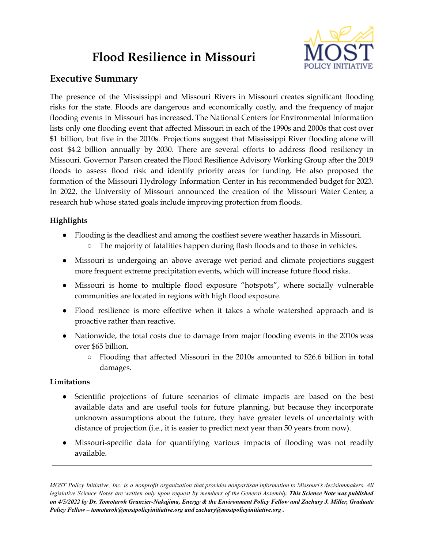# **Flood Resilience in Missouri**



## **Executive Summary**

The presence of the Mississippi and Missouri Rivers in Missouri creates significant flooding risks for the state. Floods are dangerous and economically costly, and the frequency of major flooding events in Missouri has increased. The National Centers for Environmental Information lists only one flooding event that affected Missouri in each of the 1990s and 2000s that cost over \$1 billion, but five in the 2010s. Projections suggest that Mississippi River flooding alone will cost \$4.2 billion annually by 2030. There are several efforts to address flood resiliency in Missouri. Governor Parson created the Flood Resilience Advisory Working Group after the 2019 floods to assess flood risk and identify priority areas for funding. He also proposed the formation of the Missouri Hydrology Information Center in his recommended budget for 2023. In 2022, the University of Missouri announced the creation of the Missouri Water Center, a research hub whose stated goals include improving protection from floods.

## **Highlights**

- Flooding is the deadliest and among the costliest severe weather hazards in Missouri.
	- The majority of fatalities happen during flash floods and to those in vehicles.
- Missouri is undergoing an above average wet period and climate projections suggest more frequent extreme precipitation events, which will increase future flood risks.
- Missouri is home to multiple flood exposure "hotspots", where socially vulnerable communities are located in regions with high flood exposure.
- Flood resilience is more effective when it takes a whole watershed approach and is proactive rather than reactive.
- Nationwide, the total costs due to damage from major flooding events in the 2010s was over \$65 billion.
	- Flooding that affected Missouri in the 2010s amounted to \$26.6 billion in total damages.

## **Limitations**

- Scientific projections of future scenarios of climate impacts are based on the best available data and are useful tools for future planning, but because they incorporate unknown assumptions about the future, they have greater levels of uncertainty with distance of projection (i.e., it is easier to predict next year than 50 years from now).
- Missouri-specific data for quantifying various impacts of flooding was not readily available.

MOST Policy Initiative, Inc. is a nonprofit organization that provides nonpartisan information to Missouri's decisionmakers. All legislative Science Notes are written only upon request by members of the General Assembly. This Science Note was published on 4/5/2022 by Dr. Tomotaroh Granzier-Nakajima, Energy & the Environment Policy Fellow and Zachary J. Miller, Graduate *Policy Fellow – tomotaroh@mostpolicyinitiative.org and zachary@mostpolicyinitiative.org .*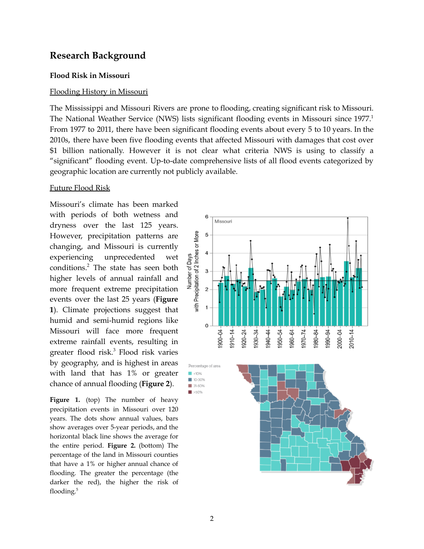## **Research Background**

#### **Flood Risk in Missouri**

#### Flooding History in Missouri

The Mississippi and Missouri Rivers are prone to flooding, creating significant risk to Missouri. The National Weather Service (NWS) lists significant flooding events in Missouri since 1977.<sup>1</sup> From 1977 to 2011, there have been significant flooding events about every 5 to 10 years. In the 2010s, there have been five flooding events that affected Missouri with damages that cost over \$1 billion nationally. However it is not clear what criteria NWS is using to classify a "significant" flooding event. Up-to-date comprehensive lists of all flood events categorized by geographic location are currently not publicly available.

#### Future Flood Risk

Missouri's climate has been marked with periods of both wetness and dryness over the last 125 years. However, precipitation patterns are changing, and Missouri is currently experiencing unprecedented wet conditions. <sup>2</sup> The state has seen both higher levels of annual rainfall and more frequent extreme precipitation events over the last 25 years (**Figure 1**). Climate projections suggest that humid and semi-humid regions like Missouri will face more frequent extreme rainfall events, resulting in greater flood risk. <sup>3</sup> Flood risk varies by geography, and is highest in areas with land that has 1% or greater chance of annual flooding (**Figure 2**).

**Figure 1.** (top) The number of heavy precipitation events in Missouri over 120 years. The dots show annual values, bars show averages over 5-year periods, and the horizontal black line shows the average for the entire period. **Figure 2.** (bottom) The percentage of the land in Missouri counties that have a 1% or higher annual chance of flooding. The greater the percentage (the darker the red), the higher the risk of flooding. 5

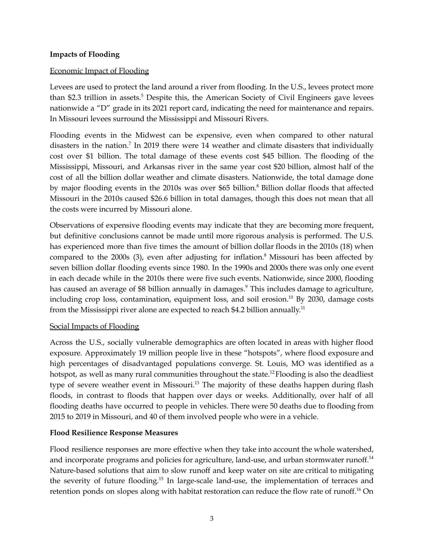#### **Impacts of Flooding**

#### Economic Impact of Flooding

Levees are used to protect the land around a river from flooding. In the U.S., levees protect more than \$2.3 trillion in assets. <sup>5</sup> Despite this, the American Society of Civil Engineers gave levees nationwide a "D" grade in its 2021 report card, indicating the need for maintenance and repairs. In Missouri levees surround the Mississippi and Missouri Rivers.

Flooding events in the Midwest can be expensive, even when compared to other natural disasters in the nation.<sup>7</sup> In 2019 there were 14 weather and climate disasters that individually cost over \$1 billion. The total damage of these events cost \$45 billion. The flooding of the Mississippi, Missouri, and Arkansas river in the same year cost \$20 billion, almost half of the cost of all the billion dollar weather and climate disasters. Nationwide, the total damage done by major flooding events in the 2010s was over \$65 billion. <sup>8</sup> Billion dollar floods that affected Missouri in the 2010s caused \$26.6 billion in total damages, though this does not mean that all the costs were incurred by Missouri alone.

Observations of expensive flooding events may indicate that they are becoming more frequent, but definitive conclusions cannot be made until more rigorous analysis is performed. The U.S. has experienced more than five times the amount of billion dollar floods in the 2010s (18) when compared to the 2000s (3), even after adjusting for inflation. <sup>8</sup> Missouri has been affected by seven billion dollar flooding events since 1980. In the 1990s and 2000s there was only one event in each decade while in the 2010s there were five such events. Nationwide, since 2000, flooding has caused an average of \$8 billion annually in damages.<sup>9</sup> This includes damage to agriculture, including crop loss, contamination, equipment loss, and soil erosion. <sup>10</sup> By 2030, damage costs from the Mississippi river alone are expected to reach \$4.2 billion annually.<sup>11</sup>

#### Social Impacts of Flooding

Across the U.S., socially vulnerable demographics are often located in areas with higher flood exposure. Approximately 19 million people live in these "hotspots", where flood exposure and high percentages of disadvantaged populations converge. St. Louis, MO was identified as a hotspot, as well as many rural communities throughout the state.<sup>12</sup> Flooding is also the deadliest type of severe weather event in Missouri.<sup>13</sup> The majority of these deaths happen during flash floods, in contrast to floods that happen over days or weeks. Additionally, over half of all flooding deaths have occurred to people in vehicles. There were 50 deaths due to flooding from 2015 to 2019 in Missouri, and 40 of them involved people who were in a vehicle.

#### **Flood Resilience Response Measures**

Flood resilience responses are more effective when they take into account the whole watershed, and incorporate programs and policies for agriculture, land-use, and urban stormwater runoff.<sup>14</sup> Nature-based solutions that aim to slow runoff and keep water on site are critical to mitigating the severity of future flooding.<sup>15</sup> In large-scale land-use, the implementation of terraces and retention ponds on slopes along with habitat restoration can reduce the flow rate of runoff.<sup>16</sup> On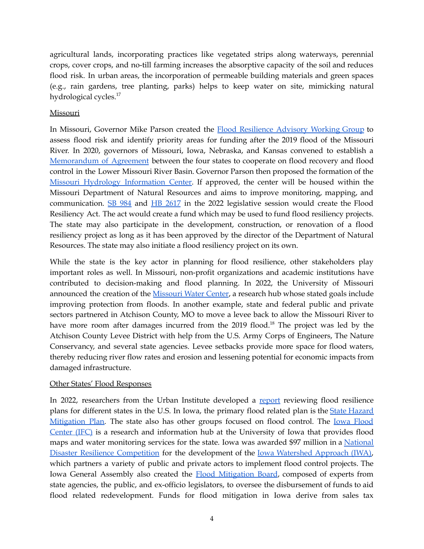agricultural lands, incorporating practices like vegetated strips along waterways, perennial crops, cover crops, and no-till farming increases the absorptive capacity of the soil and reduces flood risk. In urban areas, the incorporation of permeable building materials and green spaces (e.g., rain gardens, tree planting, parks) helps to keep water on site, mimicking natural hydrological cycles.<sup>17</sup>

### Missouri

In Missouri, Governor Mike Parson created the Flood [Resilience](https://dnr.mo.gov/about-us/forums-stakeholder-groups/flood-recovery-advisory-working-group) Advisory Working Group to assess flood risk and identify priority areas for funding after the 2019 flood of the Missouri River. In 2020, governors of Missouri, Iowa, Nebraska, and Kansas convened to establish a [Memorandum](https://dnr.mo.gov/document-search/pas-memorandum-agreement-between-states-iowa-kansas-missouri-and-nebraska-cooperation-flood-recovery-and-future-flood-control-lower-missouri-river-basin) of Agreement between the four states to cooperate on flood recovery and flood control in the Lower Missouri River Basin. Governor Parson then proposed the formation of the Missouri Hydrology [Information](https://dnr.mo.gov/water/hows-water/mo-hydrology-information-center-mohic) Center. If approved, the center will be housed within the Missouri Department of Natural Resources and aims to improve monitoring, mapping, and communication. SB [984](https://www.senate.mo.gov/22info/BTS_Web/Bill.aspx?SessionType=R&BillID=71868930) and HB [2617](https://house.mo.gov/Bill.aspx?bill=HB2617&year=2022&code=R) in the 2022 legislative session would create the Flood Resiliency Act. The act would create a fund which may be used to fund flood resiliency projects. The state may also participate in the development, construction, or renovation of a flood resiliency project as long as it has been approved by the director of the Department of Natural Resources. The state may also initiate a flood resiliency project on its own.

While the state is the key actor in planning for flood resilience, other stakeholders play important roles as well. In Missouri, non-profit organizations and academic institutions have contributed to decision-making and flood planning. In 2022, the University of Missouri announced the creation of the [Missouri](https://water.missouri.edu/) Water Center, a research hub whose stated goals include improving protection from floods. In another example, state and federal public and private sectors partnered in Atchison County, MO to move a levee back to allow the Missouri River to have more room after damages incurred from the 2019 flood.<sup>18</sup> The project was led by the Atchison County Levee District with help from the U.S. Army Corps of Engineers, The Nature Conservancy, and several state agencies. Levee setbacks provide more space for flood waters, thereby reducing river flow rates and erosion and lessening potential for economic impacts from damaged infrastructure.

#### Other States' Flood Responses

In 2022, researchers from the Urban Institute developed a [report](https://www.urban.org/research/publication/state-flood-resilience-and-adaptation-planning-challenges-and-opportunities) reviewing flood resilience plans for different states in the U.S. In Iowa, the primary flood related plan is the State [Hazard](https://homelandsecurity.iowa.gov/disasters/hazard-mitigation/) [Mitigation](https://homelandsecurity.iowa.gov/disasters/hazard-mitigation/) Plan. The state also has other groups focused on flood control. The Iowa [Flood](https://iowafloodcenter.org/) [Center](https://iowafloodcenter.org/) (IFC) is a research and information hub at the University of Iowa that provides flood maps and water monitoring services for the state. Iowa was awarded \$97 million in a [National](https://www.hud.gov/program_offices/economic_development/resilience/competition) Disaster Resilience [Competition](https://www.hud.gov/program_offices/economic_development/resilience/competition) for the development of the Iowa [Watershed](https://iowawatershedapproach.org/#:~:text=The%20Iowa%20Watershed%20Approach%20(IWA,its%20natural%20resilience%20to%20floods.) Approach (IWA), which partners a variety of public and private actors to implement flood control projects. The Iowa General Assembly also created the Flood [Mitigation](https://homelandsecurity.iowa.gov/flood-mitigation-board/) Board, composed of experts from state agencies, the public, and ex-officio legislators, to oversee the disbursement of funds to aid flood related redevelopment. Funds for flood mitigation in Iowa derive from sales tax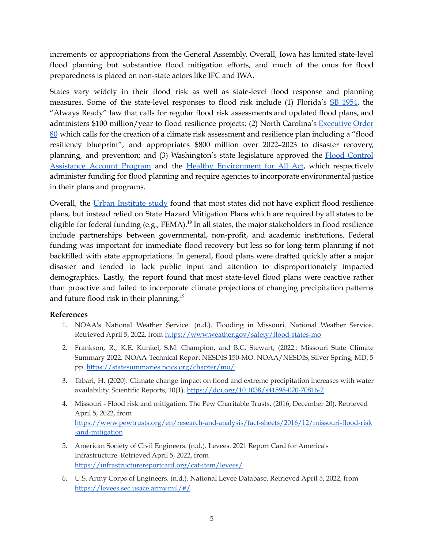increments or appropriations from the General Assembly. Overall, Iowa has limited state-level flood planning but substantive flood mitigation efforts, and much of the onus for flood preparedness is placed on non-state actors like IFC and IWA.

States vary widely in their flood risk as well as state-level flood response and planning measures. Some of the state-level responses to flood risk include (1) Florida's SB [1954](https://www.flsenate.gov/Session/Bill/2021/1954/), the "Always Ready" law that calls for regular flood risk assessments and updated flood plans, and administers \$100 million/year to flood resilience projects; (2) North Carolina's [Executive](https://governor.nc.gov/documents/executive-order-no-80-north-carolinas-commitment-address-climate-change-and-transition) Order [80](https://governor.nc.gov/documents/executive-order-no-80-north-carolinas-commitment-address-climate-change-and-transition) which calls for the creation of a climate risk assessment and resilience plan including a "flood resiliency blueprint", and appropriates \$800 million over 2022–2023 to disaster recovery, planning, and prevention; and (3) Washington's state legislature approved the Flood [Control](https://ecology.wa.gov/About-us/Payments-contracts-grants/Grants-loans/Find-a-grant-or-loan/Flood-control-assistance#:~:text=The%20Washington%20Legislature%20established%20the,biennium%20by%20the%20state%20Legislature.) [Assistance](https://ecology.wa.gov/About-us/Payments-contracts-grants/Grants-loans/Find-a-grant-or-loan/Flood-control-assistance#:~:text=The%20Washington%20Legislature%20established%20the,biennium%20by%20the%20state%20Legislature.) Account Program and the Healthy [Environment](https://ecology.wa.gov/About-us/Who-we-are/Environmental-Justice/HEAL) for All Act, which respectively administer funding for flood planning and require agencies to incorporate environmental justice in their plans and programs.

Overall, the Urban [Institute](https://www.urban.org/research/publication/state-flood-resilience-and-adaptation-planning-challenges-and-opportunities) study found that most states did not have explicit flood resilience plans, but instead relied on State Hazard Mitigation Plans which are required by all states to be eligible for federal funding (e.g., FEMA).<sup>19</sup> In all states, the major stakeholders in flood resilience include partnerships between governmental, non-profit, and academic institutions. Federal funding was important for immediate flood recovery but less so for long-term planning if not backfilled with state appropriations. In general, flood plans were drafted quickly after a major disaster and tended to lack public input and attention to disproportionately impacted demographics. Lastly, the report found that most state-level flood plans were reactive rather than proactive and failed to incorporate climate projections of changing precipitation patterns and future flood risk in their planning. 19

## **References**

- 1. NOAA's National Weather Service. (n.d.). Flooding in Missouri. National Weather Service. Retrieved April 5, 2022, from <https://www.weather.gov/safety/flood-states-mo>
- 2. Frankson, R., K.E. Kunkel, S.M. Champion, and B.C. Stewart, (2022.: Missouri State Climate Summary 2022. NOAA Technical Report NESDIS 150-MO. NOAA/NESDIS, Silver Spring, MD, 5 pp. <https://statesummaries.ncics.org/chapter/mo/>
- 3. Tabari, H. (2020). Climate change impact on flood and extreme precipitation increases with water availability. Scientific Reports, 10(1). <https://doi.org/10.1038/s41598-020-70816-2>
- 4. Missouri Flood risk and mitigation. The Pew Charitable Trusts. (2016, December 20). Retrieved April 5, 2022, from [https://www.pewtrusts.org/en/research-and-analysis/fact-sheets/2016/12/missouri-flood-risk](https://www.pewtrusts.org/en/research-and-analysis/fact-sheets/2016/12/missouri-flood-risk-and-mitigation) [-and-mitigation](https://www.pewtrusts.org/en/research-and-analysis/fact-sheets/2016/12/missouri-flood-risk-and-mitigation)
- 5. American Society of Civil Engineers. (n.d.). Levees. 2021 Report Card for America's Infrastructure. Retrieved April 5, 2022, from <https://infrastructurereportcard.org/cat-item/levees/>
- 6. U.S. Army Corps of Engineers. (n.d.). National Levee Database. Retrieved April 5, 2022, from <https://levees.sec.usace.army.mil/#/>